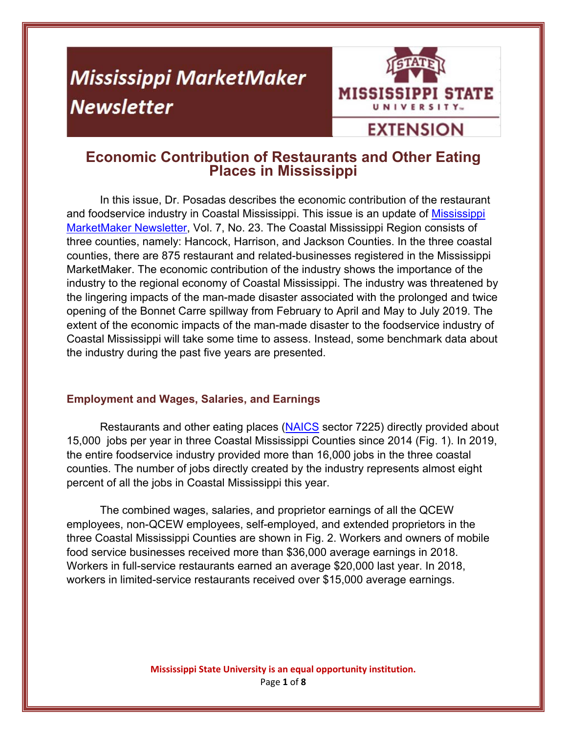# **Mississippi MarketMaker Newsletter**



# **EXTENSION**

# **Economic Contribution of Restaurants and Other Eating Places in Mississippi**

In this issue, Dr. Posadas describes the economic contribution of the restaurant and foodservice industry in Coastal Mississippi. This issue is an update of Mississippi MarketMaker Newsletter, Vol. 7, No. 23. The Coastal Mississippi Region consists of three counties, namely: Hancock, Harrison, and Jackson Counties. In the three coastal counties, there are 875 restaurant and related-businesses registered in the Mississippi MarketMaker. The economic contribution of the industry shows the importance of the industry to the regional economy of Coastal Mississippi. The industry was threatened by the lingering impacts of the man-made disaster associated with the prolonged and twice opening of the Bonnet Carre spillway from February to April and May to July 2019. The extent of the economic impacts of the man-made disaster to the foodservice industry of Coastal Mississippi will take some time to assess. Instead, some benchmark data about the industry during the past five years are presented.

## **Employment and Wages, Salaries, and Earnings**

Restaurants and other eating places (NAICS sector 7225) directly provided about 15,000 jobs per year in three Coastal Mississippi Counties since 2014 (Fig. 1). In 2019, the entire foodservice industry provided more than 16,000 jobs in the three coastal counties. The number of jobs directly created by the industry represents almost eight percent of all the jobs in Coastal Mississippi this year.

The combined wages, salaries, and proprietor earnings of all the QCEW employees, non-QCEW employees, self-employed, and extended proprietors in the three Coastal Mississippi Counties are shown in Fig. 2. Workers and owners of mobile food service businesses received more than \$36,000 average earnings in 2018. Workers in full-service restaurants earned an average \$20,000 last year. In 2018, workers in limited-service restaurants received over \$15,000 average earnings.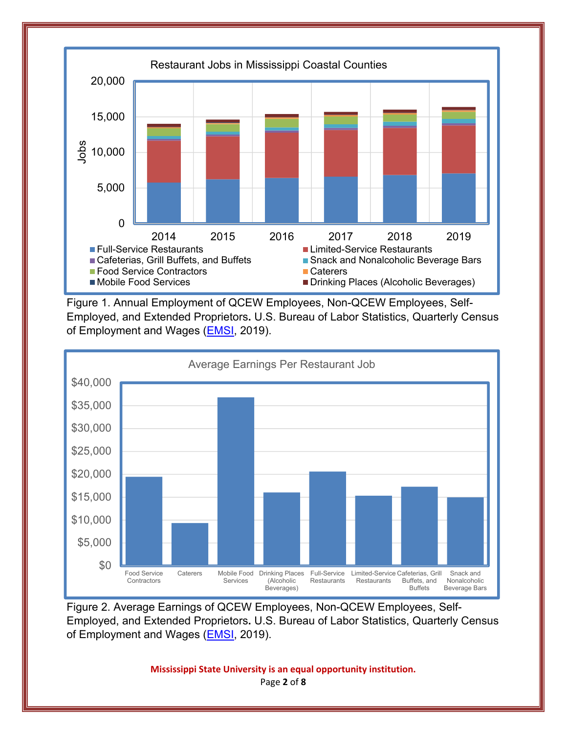

Figure 1. Annual Employment of QCEW Employees, Non-QCEW Employees, Self-Employed, and Extended Proprietors**.** U.S. Bureau of Labor Statistics, Quarterly Census of Employment and Wages (**EMSI**, 2019).



Figure 2. Average Earnings of QCEW Employees, Non-QCEW Employees, Self-Employed, and Extended Proprietors**.** U.S. Bureau of Labor Statistics, Quarterly Census of Employment and Wages (**EMSI**, 2019).

> **Mississippi State University is an equal opportunity institution.** Page **2** of **8**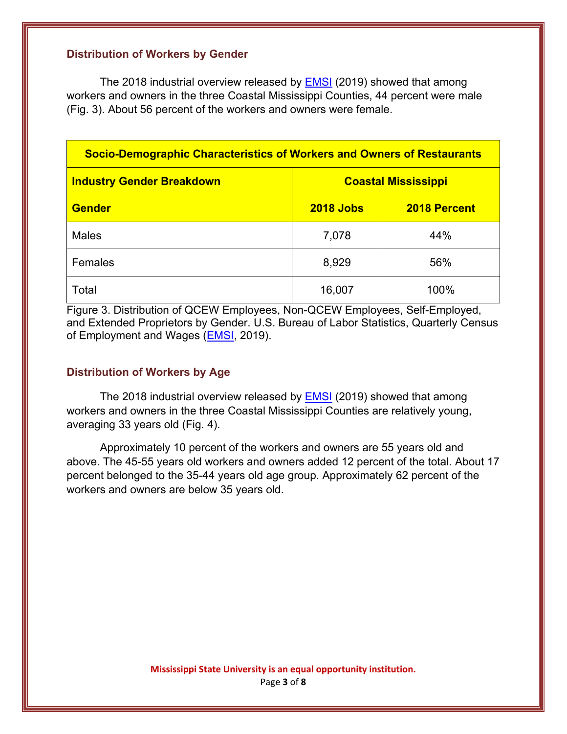#### **Distribution of Workers by Gender**

The 2018 industrial overview released by **EMSI** (2019) showed that among workers and owners in the three Coastal Mississippi Counties, 44 percent were male (Fig. 3). About 56 percent of the workers and owners were female.

| <b>Socio-Demographic Characteristics of Workers and Owners of Restaurants</b> |                            |              |  |
|-------------------------------------------------------------------------------|----------------------------|--------------|--|
| <b>Industry Gender Breakdown</b>                                              | <b>Coastal Mississippi</b> |              |  |
| <b>Gender</b>                                                                 | <b>2018 Jobs</b>           | 2018 Percent |  |
| <b>Males</b>                                                                  | 7,078                      | 44%          |  |
| Females                                                                       | 8,929                      | 56%          |  |
| Total                                                                         | 16,007                     | 100%         |  |

Figure 3. Distribution of QCEW Employees, Non-QCEW Employees, Self-Employed, and Extended Proprietors by Gender. U.S. Bureau of Labor Statistics, Quarterly Census of Employment and Wages (EMSI, 2019).

#### **Distribution of Workers by Age**

The 2018 industrial overview released by **EMSI** (2019) showed that among workers and owners in the three Coastal Mississippi Counties are relatively young, averaging 33 years old (Fig. 4).

Approximately 10 percent of the workers and owners are 55 years old and above. The 45-55 years old workers and owners added 12 percent of the total. About 17 percent belonged to the 35-44 years old age group. Approximately 62 percent of the workers and owners are below 35 years old.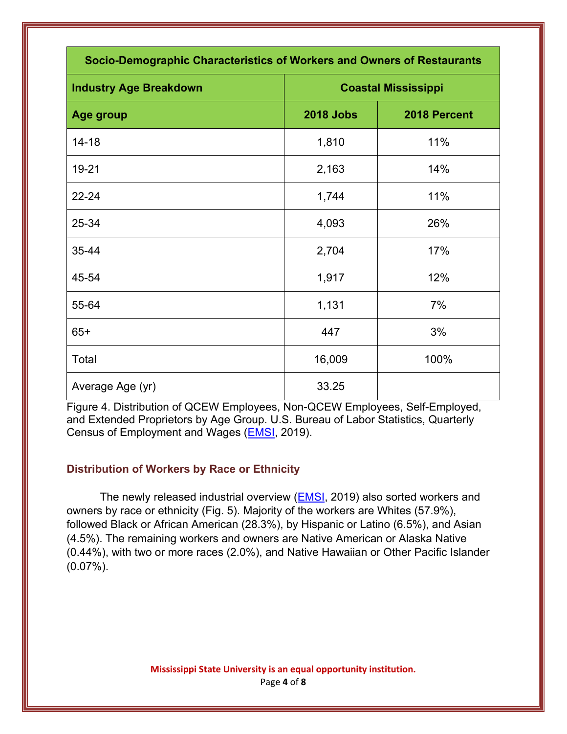| Socio-Demographic Characteristics of Workers and Owners of Restaurants |                            |              |  |
|------------------------------------------------------------------------|----------------------------|--------------|--|
| <b>Industry Age Breakdown</b>                                          | <b>Coastal Mississippi</b> |              |  |
| Age group                                                              | <b>2018 Jobs</b>           | 2018 Percent |  |
| $14 - 18$                                                              | 1,810                      | 11%          |  |
| 19-21                                                                  | 2,163                      | 14%          |  |
| $22 - 24$                                                              | 1,744                      | 11%          |  |
| 25-34                                                                  | 4,093                      | 26%          |  |
| 35-44                                                                  | 2,704                      | 17%          |  |
| 45-54                                                                  | 1,917                      | 12%          |  |
| 55-64                                                                  | 1,131                      | 7%           |  |
| $65+$                                                                  | 447                        | 3%           |  |
| Total                                                                  | 16,009                     | 100%         |  |
| Average Age (yr)                                                       | 33.25                      |              |  |

Figure 4. Distribution of QCEW Employees, Non-QCEW Employees, Self-Employed, and Extended Proprietors by Age Group. U.S. Bureau of Labor Statistics, Quarterly Census of Employment and Wages (EMSI, 2019).

## **Distribution of Workers by Race or Ethnicity**

The newly released industrial overview (EMSI, 2019) also sorted workers and owners by race or ethnicity (Fig. 5). Majority of the workers are Whites (57.9%), followed Black or African American (28.3%), by Hispanic or Latino (6.5%), and Asian (4.5%). The remaining workers and owners are Native American or Alaska Native (0.44%), with two or more races (2.0%), and Native Hawaiian or Other Pacific Islander  $(0.07\%)$ .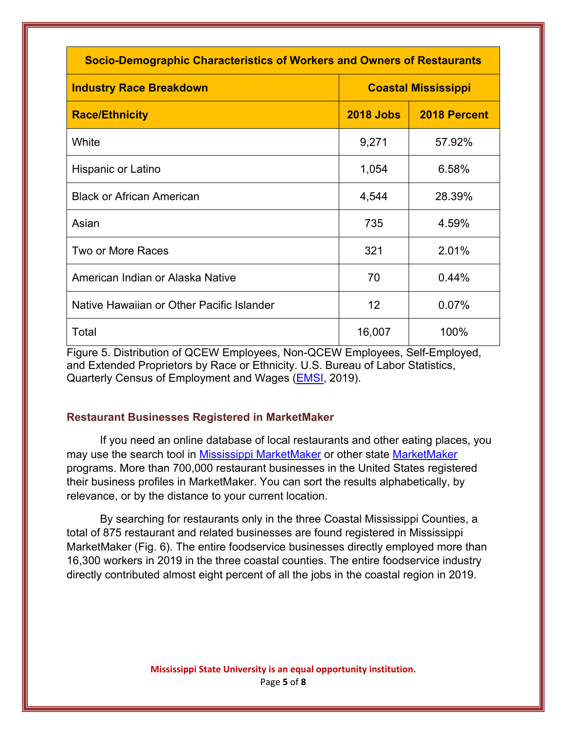| <b>Socio-Demographic Characteristics of Workers and Owners of Restaurants</b> |                            |              |  |  |
|-------------------------------------------------------------------------------|----------------------------|--------------|--|--|
| <b>Industry Race Breakdown</b>                                                | <b>Coastal Mississippi</b> |              |  |  |
| <b>Race/Ethnicity</b>                                                         | <b>2018 Jobs</b>           | 2018 Percent |  |  |
| White                                                                         | 9,271                      | 57.92%       |  |  |
| Hispanic or Latino                                                            | 1,054                      | 6.58%        |  |  |
| <b>Black or African American</b>                                              | 4,544                      | 28.39%       |  |  |
| Asian                                                                         | 735                        | 4.59%        |  |  |
| Two or More Races                                                             | 321                        | 2.01%        |  |  |
| American Indian or Alaska Native                                              | 70                         | 0.44%        |  |  |
| Native Hawaiian or Other Pacific Islander                                     | 12                         | 0.07%        |  |  |
| Total                                                                         | 16,007                     | 100%         |  |  |

Figure 5. Distribution of QCEW Employees, Non-QCEW Employees, Self-Employed, and Extended Proprietors by Race or Ethnicity. U.S. Bureau of Labor Statistics, Quarterly Census of Employment and Wages (EMSI, 2019).

#### **Restaurant Businesses Registered in MarketMaker**

If you need an online database of local restaurants and other eating places, you may use the search tool in Mississippi MarketMaker or other state MarketMaker programs. More than 700,000 restaurant businesses in the United States registered their business profiles in MarketMaker. You can sort the results alphabetically, by relevance, or by the distance to your current location.

By searching for restaurants only in the three Coastal Mississippi Counties, a total of 875 restaurant and related businesses are found registered in Mississippi MarketMaker (Fig. 6). The entire foodservice businesses directly employed more than 16,300 workers in 2019 in the three coastal counties. The entire foodservice industry directly contributed almost eight percent of all the jobs in the coastal region in 2019.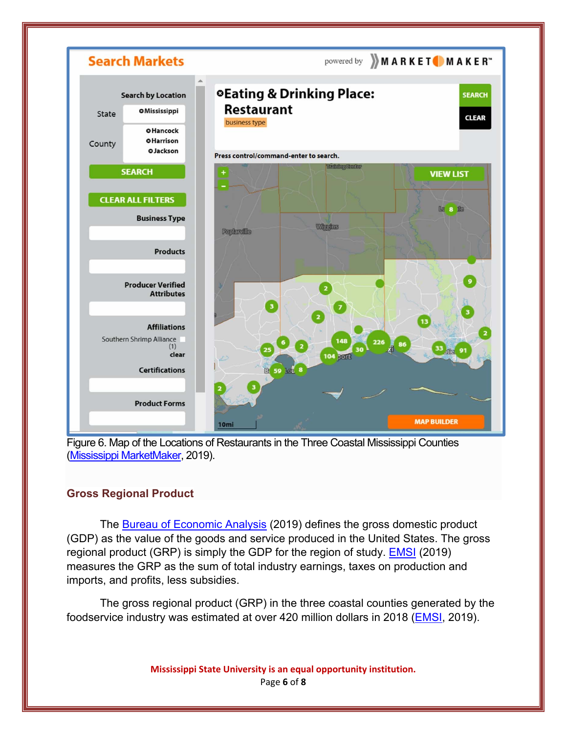

Figure 6. Map of the Locations of Restaurants in the Three Coastal Mississippi Counties (Mississippi MarketMaker, 2019).

## **Gross Regional Product**

The **Bureau of Economic Analysis** (2019) defines the gross domestic product (GDP) as the value of the goods and service produced in the United States. The gross regional product (GRP) is simply the GDP for the region of study. EMSI (2019) measures the GRP as the sum of total industry earnings, taxes on production and imports, and profits, less subsidies.

The gross regional product (GRP) in the three coastal counties generated by the foodservice industry was estimated at over 420 million dollars in 2018 (EMSI, 2019).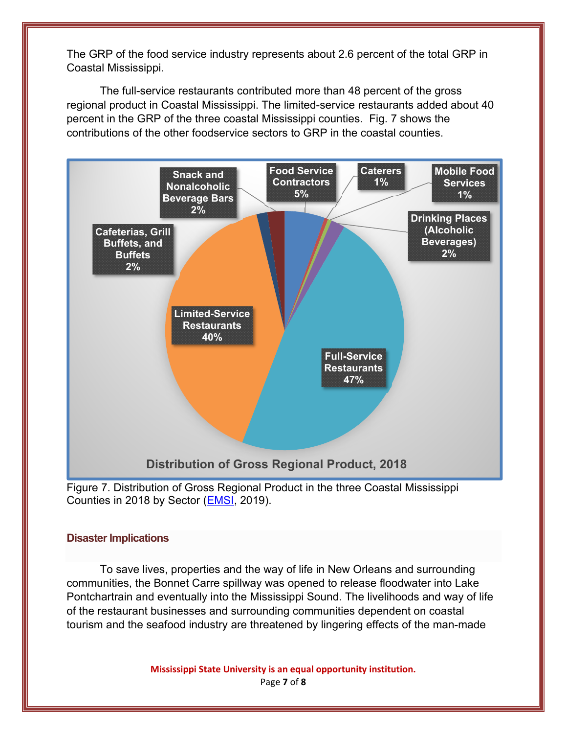The GRP of the food service industry represents about 2.6 percent of the total GRP in Coastal Mississippi.

The full-service restaurants contributed more than 48 percent of the gross regional product in Coastal Mississippi. The limited-service restaurants added about 40 percent in the GRP of the three coastal Mississippi counties. Fig. 7 shows the contributions of the other foodservice sectors to GRP in the coastal counties.



Figure 7. Distribution of Gross Regional Product in the three Coastal Mississippi Counties in 2018 by Sector (EMSI, 2019).

#### **Disaster Implications**

To save lives, properties and the way of life in New Orleans and surrounding communities, the Bonnet Carre spillway was opened to release floodwater into Lake Pontchartrain and eventually into the Mississippi Sound. The livelihoods and way of life of the restaurant businesses and surrounding communities dependent on coastal tourism and the seafood industry are threatened by lingering effects of the man-made

> **Mississippi State University is an equal opportunity institution.** Page **7** of **8**